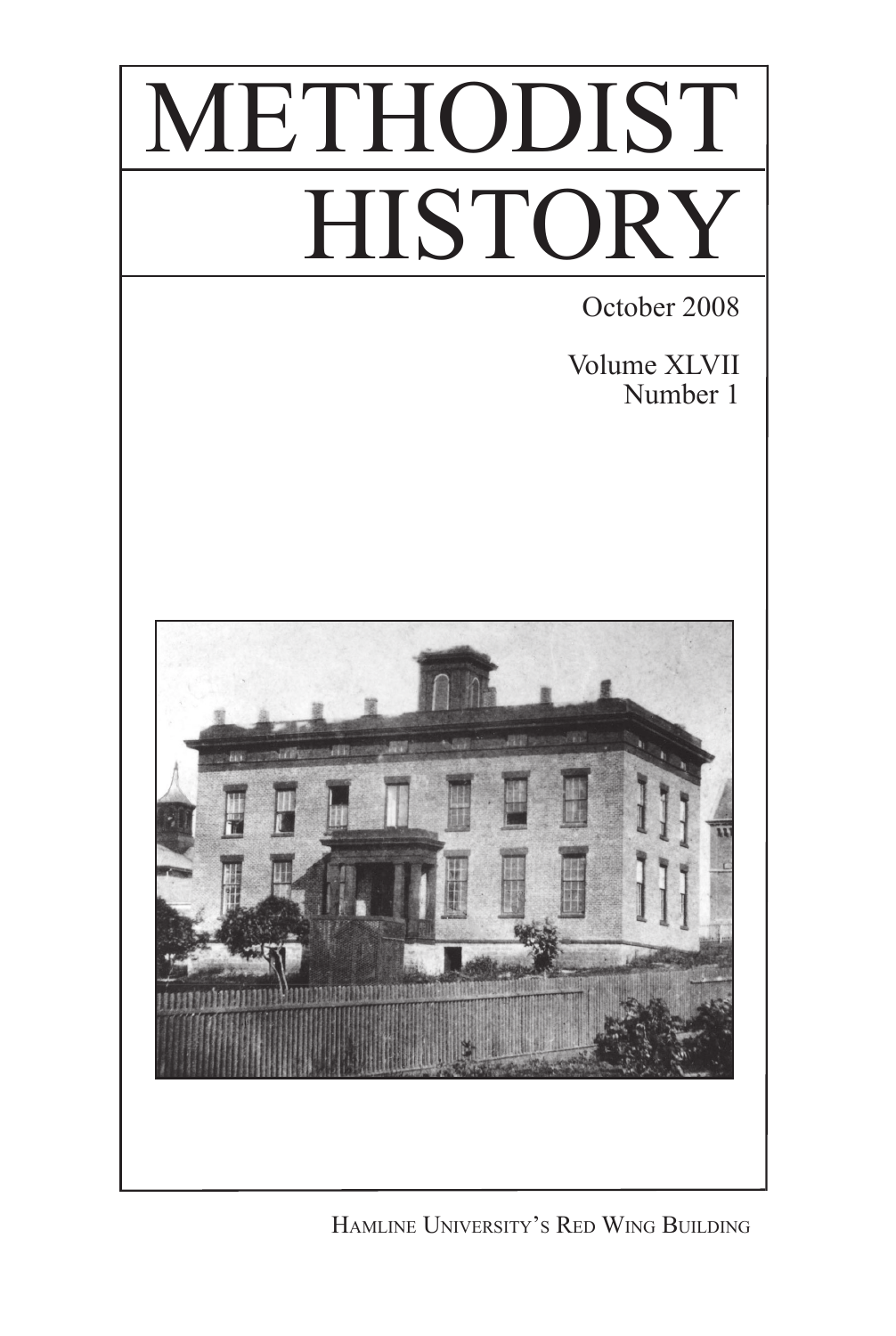# METHODIST **HISTORY**

October 2008

Volume XLVII Number 1



Hamline University's Red Wing Building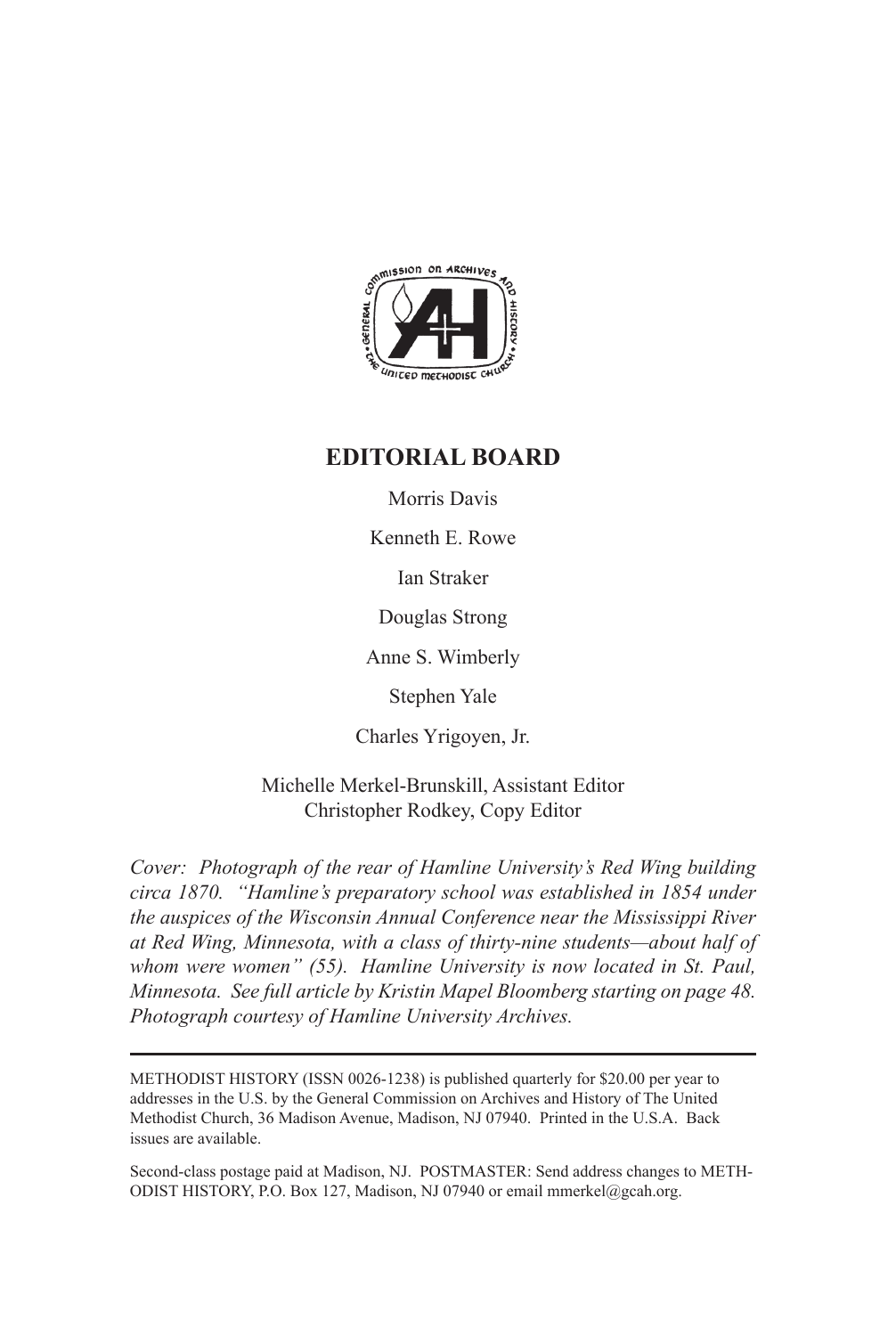

### **EDITORIAL BOARD**

Morris Davis

Kenneth E. Rowe

Ian Straker

Douglas Strong

Anne S. Wimberly

Stephen Yale

Charles Yrigoyen, Jr.

Michelle Merkel-Brunskill, Assistant Editor Christopher Rodkey, Copy Editor

*Cover: Photograph of the rear of Hamline University's Red Wing building circa 1870. "Hamline's preparatory school was established in 1854 under the auspices of the Wisconsin Annual Conference near the Mississippi River at Red Wing, Minnesota, with a class of thirty-nine students—about half of whom were women" (55). Hamline University is now located in St. Paul, Minnesota. See full article by Kristin Mapel Bloomberg starting on page 48. Photograph courtesy of Hamline University Archives.*

METHODIST HISTORY (ISSN 0026-1238) is published quarterly for \$20.00 per year to addresses in the U.S. by the General Commission on Archives and History of The United Methodist Church, 36 Madison Avenue, Madison, NJ 07940. Printed in the U.S.A. Back issues are available.

Second-class postage paid at Madison, NJ. POSTMASTER: Send address changes to METH-ODIST HISTORY, P.O. Box 127, Madison, NJ 07940 or email mmerkel@gcah.org.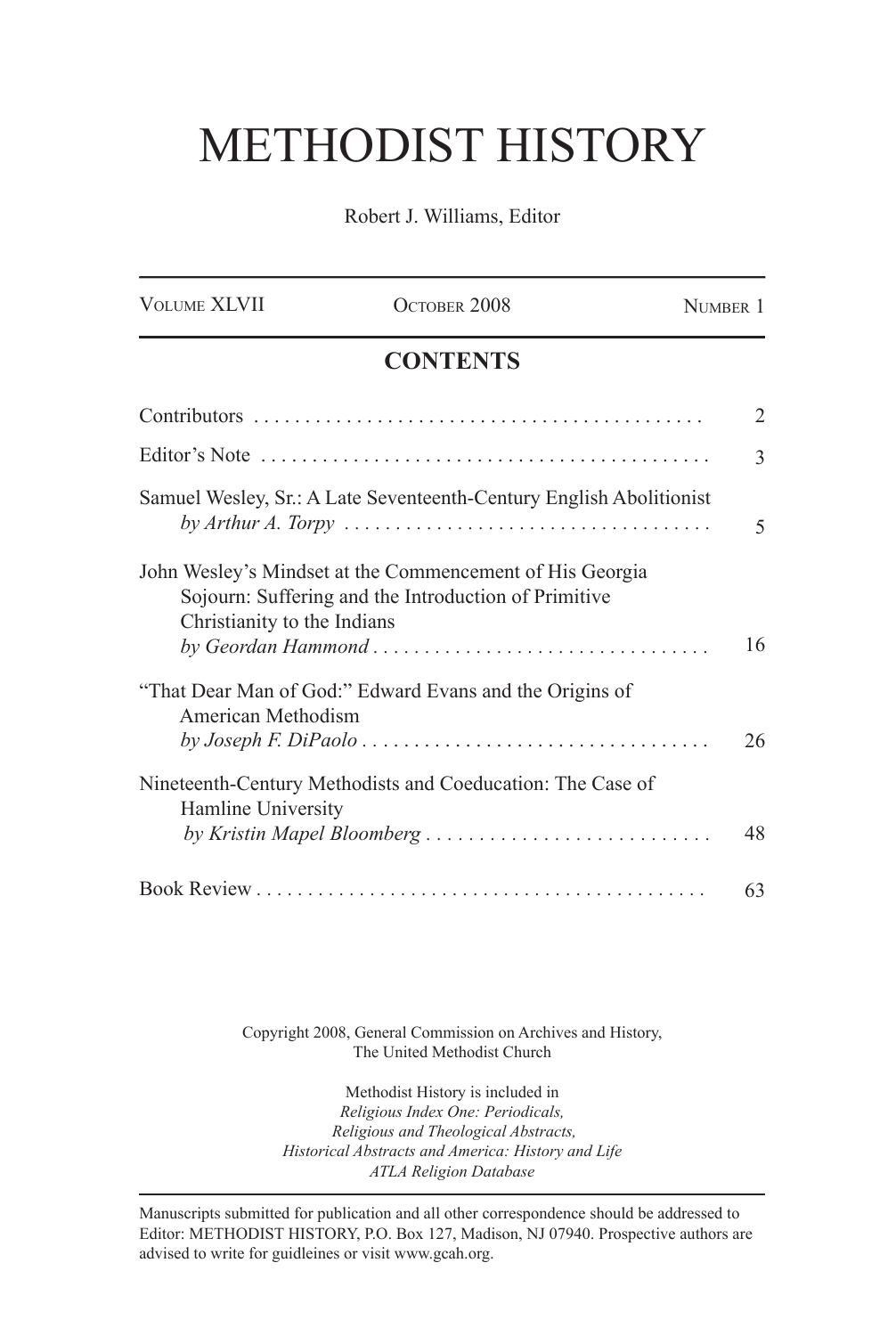## METHODIST HISTORY

Robert J. Williams, Editor

| <b>VOLUME XLVII</b>         | OCTOBER 2008                                                                                                     | NUMBER 1       |
|-----------------------------|------------------------------------------------------------------------------------------------------------------|----------------|
|                             | <b>CONTENTS</b>                                                                                                  |                |
|                             |                                                                                                                  | $\mathfrak{D}$ |
|                             |                                                                                                                  | 3              |
|                             | Samuel Wesley, Sr.: A Late Seventeenth-Century English Abolitionist                                              | 5              |
| Christianity to the Indians | John Wesley's Mindset at the Commencement of His Georgia<br>Sojourn: Suffering and the Introduction of Primitive | 16             |
| American Methodism          | "That Dear Man of God:" Edward Evans and the Origins of                                                          | 26             |
| Hamline University          | Nineteenth-Century Methodists and Coeducation: The Case of<br>by Kristin Mapel Bloomberg                         | 48             |
|                             |                                                                                                                  | 63             |

Copyright 2008, General Commission on Archives and History, The United Methodist Church

Methodist History is included in *Religious Index One: Periodicals, Religious and Theological Abstracts, Historical Abstracts and America: History and Life ATLA Religion Database*

Manuscripts submitted for publication and all other correspondence should be addressed to Editor: METHODIST HISTORY, P.O. Box 127, Madison, NJ 07940. Prospective authors are advised to write for guidleines or visit www.gcah.org.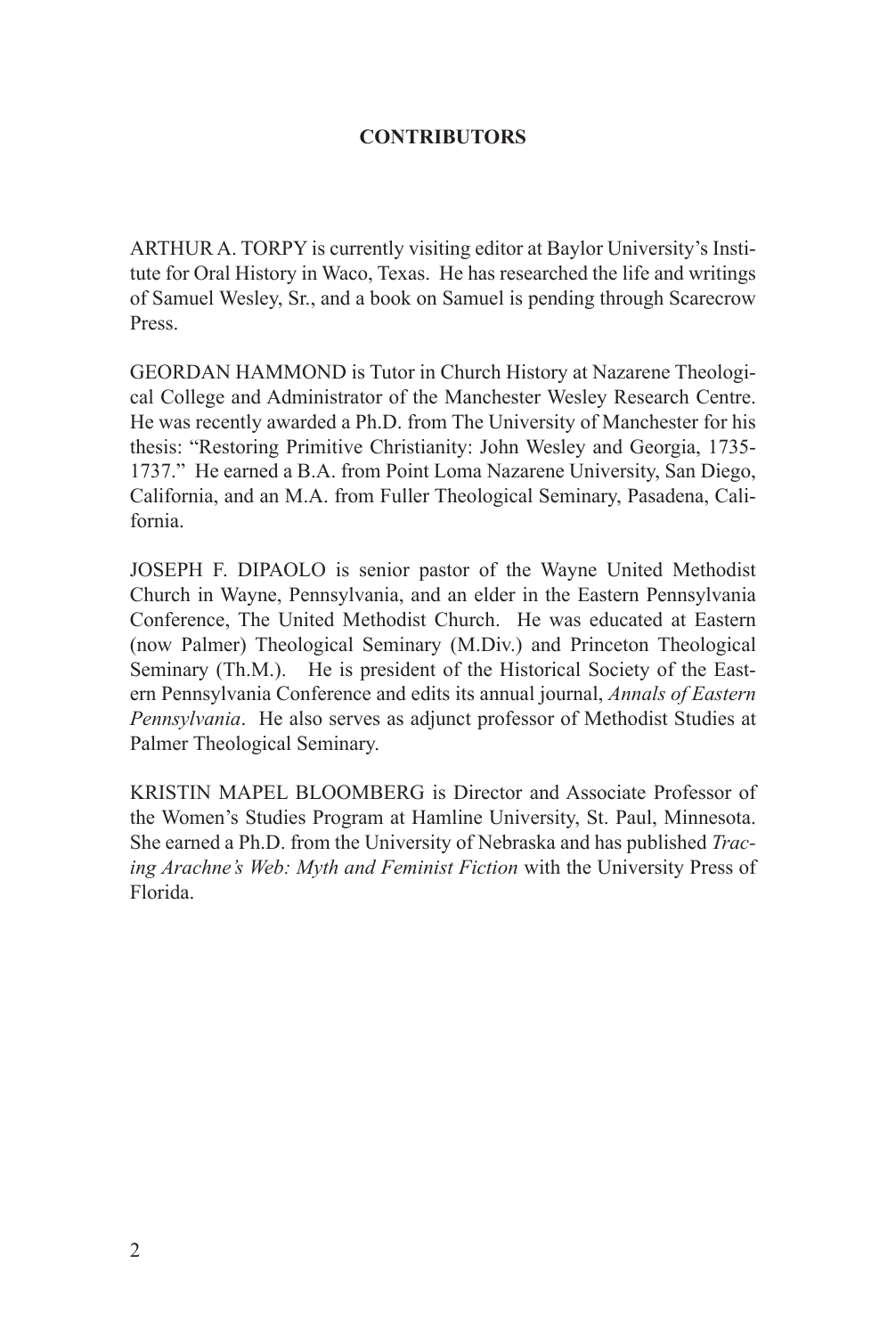### **CONTRIBUTORS**

ARTHUR A. TORPY is currently visiting editor at Baylor University's Institute for Oral History in Waco, Texas. He has researched the life and writings of Samuel Wesley, Sr., and a book on Samuel is pending through Scarecrow Press.

GEORDAN HAMMOND is Tutor in Church History at Nazarene Theological College and Administrator of the Manchester Wesley Research Centre. He was recently awarded a Ph.D. from The University of Manchester for his thesis: "Restoring Primitive Christianity: John Wesley and Georgia, 1735- 1737." He earned a B.A. from Point Loma Nazarene University, San Diego, California, and an M.A. from Fuller Theological Seminary, Pasadena, California.

JOSEPH F. DIPAOLO is senior pastor of the Wayne United Methodist Church in Wayne, Pennsylvania, and an elder in the Eastern Pennsylvania Conference, The United Methodist Church. He was educated at Eastern (now Palmer) Theological Seminary (M.Div.) and Princeton Theological Seminary (Th.M.). He is president of the Historical Society of the Eastern Pennsylvania Conference and edits its annual journal, *Annals of Eastern Pennsylvania*. He also serves as adjunct professor of Methodist Studies at Palmer Theological Seminary.

KRISTIN MAPEL BLOOMBERG is Director and Associate Professor of the Women's Studies Program at Hamline University, St. Paul, Minnesota. She earned a Ph.D. from the University of Nebraska and has published *Tracing Arachne's Web: Myth and Feminist Fiction* with the University Press of Florida.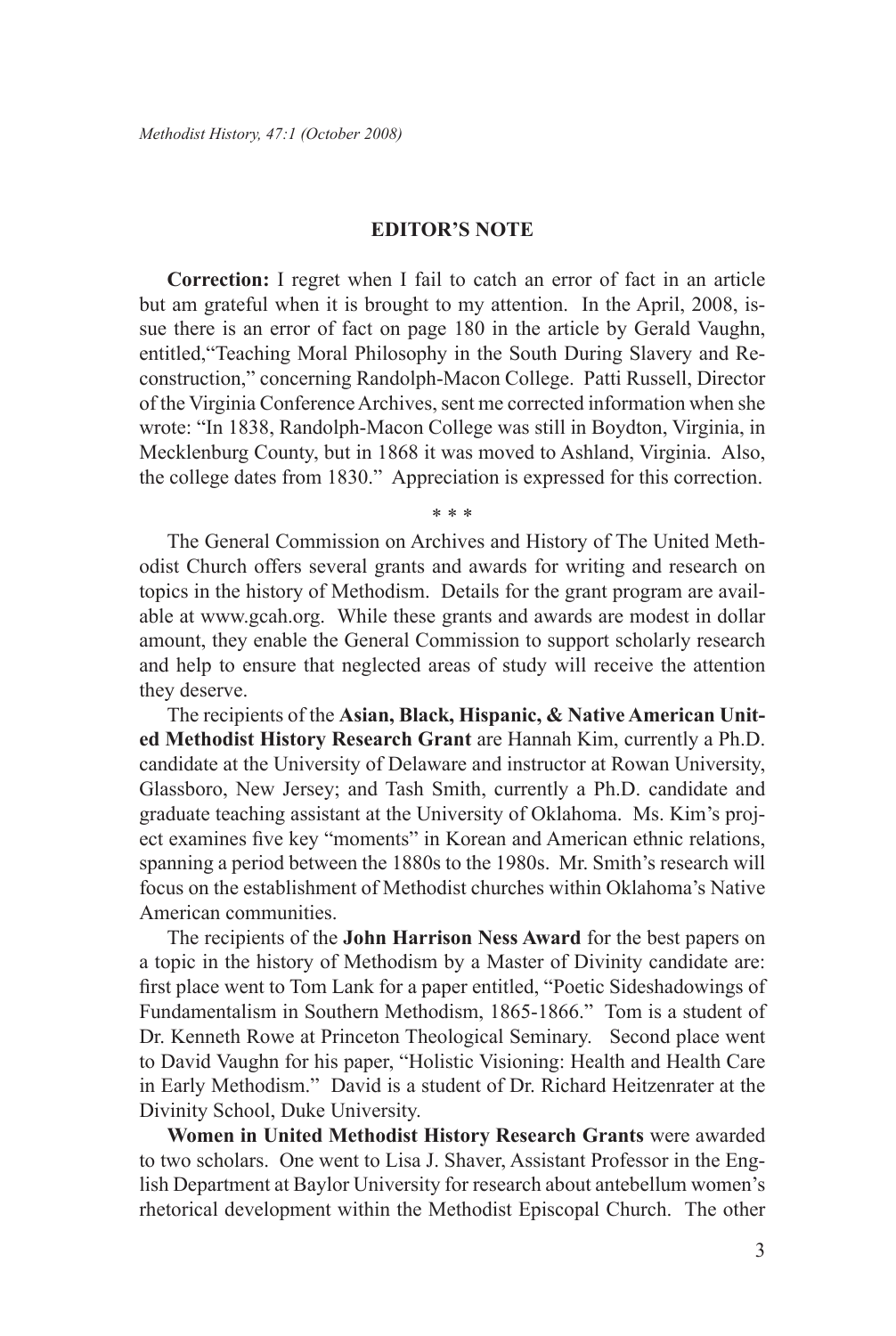#### **EDITOR'S NOTE**

**Correction:** I regret when I fail to catch an error of fact in an article but am grateful when it is brought to my attention. In the April, 2008, issue there is an error of fact on page 180 in the article by Gerald Vaughn, entitled,"Teaching Moral Philosophy in the South During Slavery and Reconstruction," concerning Randolph-Macon College. Patti Russell, Director of the Virginia Conference Archives, sent me corrected information when she wrote: "In 1838, Randolph-Macon College was still in Boydton, Virginia, in Mecklenburg County, but in 1868 it was moved to Ashland, Virginia. Also, the college dates from 1830." Appreciation is expressed for this correction.

\* \* \*

The General Commission on Archives and History of The United Methodist Church offers several grants and awards for writing and research on topics in the history of Methodism. Details for the grant program are available at www.gcah.org. While these grants and awards are modest in dollar amount, they enable the General Commission to support scholarly research and help to ensure that neglected areas of study will receive the attention they deserve.

The recipients of the **Asian, Black, Hispanic, & Native American United Methodist History Research Grant** are Hannah Kim, currently a Ph.D. candidate at the University of Delaware and instructor at Rowan University, Glassboro, New Jersey; and Tash Smith, currently a Ph.D. candidate and graduate teaching assistant at the University of Oklahoma. Ms. Kim's project examines five key "moments" in Korean and American ethnic relations, spanning a period between the 1880s to the 1980s. Mr. Smith's research will focus on the establishment of Methodist churches within Oklahoma's Native American communities.

The recipients of the **John Harrison Ness Award** for the best papers on a topic in the history of Methodism by a Master of Divinity candidate are: first place went to Tom Lank for a paper entitled, "Poetic Sideshadowings of Fundamentalism in Southern Methodism, 1865-1866." Tom is a student of Dr. Kenneth Rowe at Princeton Theological Seminary. Second place went to David Vaughn for his paper, "Holistic Visioning: Health and Health Care in Early Methodism." David is a student of Dr. Richard Heitzenrater at the Divinity School, Duke University.

**Women in United Methodist History Research Grants** were awarded to two scholars. One went to Lisa J. Shaver, Assistant Professor in the English Department at Baylor University for research about antebellum women's rhetorical development within the Methodist Episcopal Church. The other